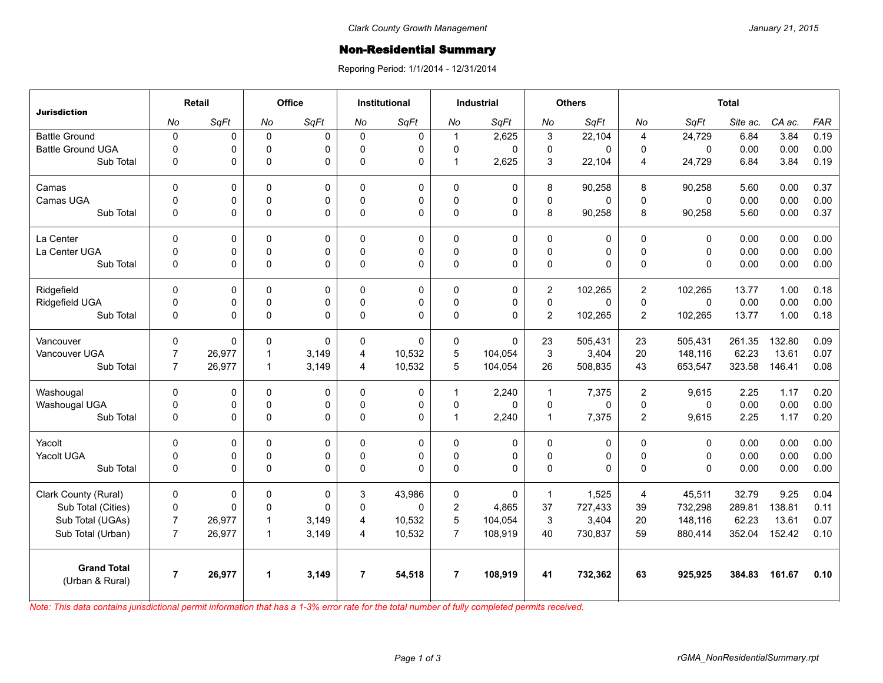## **Non-Residential Summary**

Reporing Period: 1/1/2014 - 12/31/2014

| <b>Jurisdiction</b>                   | Retail         |        | Office       |             | <b>Institutional</b> |          | <b>Industrial</b> |             | <b>Others</b>  |          | <b>Total</b>   |              |          |        |            |
|---------------------------------------|----------------|--------|--------------|-------------|----------------------|----------|-------------------|-------------|----------------|----------|----------------|--------------|----------|--------|------------|
|                                       | No             | SqFt   | No           | SqFt        | No                   | SqFt     | No                | SqFt        | No             | SqFt     | No             | SqFt         | Site ac. | CA ac. | <b>FAR</b> |
| <b>Battle Ground</b>                  | $\pmb{0}$      | 0      | $\mathbf 0$  | $\mathbf 0$ | $\Omega$             | 0        | $\mathbf{1}$      | 2,625       | 3              | 22,104   | 4              | 24,729       | 6.84     | 3.84   | 0.19       |
| <b>Battle Ground UGA</b>              | $\mathbf 0$    | 0      | $\Omega$     | $\Omega$    | $\Omega$             | 0        | 0                 | $\Omega$    | 0              | $\Omega$ | 0              | $\Omega$     | 0.00     | 0.00   | 0.00       |
| Sub Total                             | $\mathbf 0$    | 0      | 0            | $\mathbf 0$ | $\Omega$             | 0        | $\mathbf{1}$      | 2,625       | 3              | 22,104   | 4              | 24,729       | 6.84     | 3.84   | 0.19       |
| Camas                                 | $\mathbf 0$    | 0      | 0            | $\mathbf 0$ | $\Omega$             | 0        | $\mathbf 0$       | $\mathbf 0$ | 8              | 90,258   | 8              | 90,258       | 5.60     | 0.00   | 0.37       |
| Camas UGA                             | $\mathbf 0$    | 0      | 0            | $\Omega$    | $\Omega$             | 0        | 0                 | $\Omega$    | 0              | 0        | $\Omega$       | $\Omega$     | 0.00     | 0.00   | 0.00       |
| Sub Total                             | $\mathbf 0$    | 0      | 0            | $\pmb{0}$   | 0                    | 0        | 0                 | $\pmb{0}$   | 8              | 90,258   | 8              | 90,258       | 5.60     | 0.00   | 0.37       |
| La Center                             | $\mathbf 0$    | 0      | $\Omega$     | $\mathbf 0$ | $\Omega$             | 0        | 0                 | $\mathbf 0$ | 0              | 0        | $\mathbf{0}$   | $\Omega$     | 0.00     | 0.00   | 0.00       |
| La Center UGA                         | $\mathbf 0$    | 0      | $\Omega$     | $\mathbf 0$ | $\Omega$             | 0        | 0                 | $\mathbf 0$ | 0              | 0        | $\Omega$       | $\Omega$     | 0.00     | 0.00   | 0.00       |
| Sub Total                             | $\mathbf 0$    | 0      | 0            | $\Omega$    | $\Omega$             | 0        | 0                 | $\mathbf 0$ | 0              | 0        | $\mathbf 0$    | $\Omega$     | 0.00     | 0.00   | 0.00       |
| Ridgefield                            | $\Omega$       | 0      | $\Omega$     | 0           | $\Omega$             | 0        | $\Omega$          | $\mathbf 0$ | $\overline{c}$ | 102,265  | $\overline{c}$ | 102,265      | 13.77    | 1.00   | 0.18       |
| Ridgefield UGA                        | $\mathbf 0$    | 0      | $\Omega$     | $\mathbf 0$ | $\Omega$             | 0        | 0                 | $\pmb{0}$   | $\mathbf 0$    | $\Omega$ | $\Omega$       | $\mathbf{0}$ | 0.00     | 0.00   | 0.00       |
| Sub Total                             | $\mathbf 0$    | 0      | 0            | $\Omega$    | $\Omega$             | $\Omega$ | 0                 | $\Omega$    | $\overline{2}$ | 102,265  | $\overline{2}$ | 102,265      | 13.77    | 1.00   | 0.18       |
| Vancouver                             | $\mathbf 0$    | 0      | 0            | $\Omega$    | $\Omega$             | 0        | 0                 | $\Omega$    | 23             | 505.431  | 23             | 505,431      | 261.35   | 132.80 | 0.09       |
| Vancouver UGA                         | $\overline{7}$ | 26,977 | $\mathbf{1}$ | 3,149       | 4                    | 10,532   | 5                 | 104,054     | 3              | 3,404    | 20             | 148,116      | 62.23    | 13.61  | 0.07       |
| Sub Total                             | $\overline{7}$ | 26,977 | $\mathbf{1}$ | 3,149       | 4                    | 10,532   | 5                 | 104,054     | 26             | 508,835  | 43             | 653,547      | 323.58   | 146.41 | 0.08       |
| Washougal                             | $\Omega$       | 0      | $\Omega$     | 0           | $\Omega$             | 0        | $\mathbf{1}$      | 2,240       | $\mathbf{1}$   | 7,375    | $\overline{c}$ | 9,615        | 2.25     | 1.17   | 0.20       |
| Washougal UGA                         | $\mathbf 0$    | 0      | 0            | $\pmb{0}$   | $\mathbf 0$          | 0        | 0                 | $\mathbf 0$ | $\mathbf 0$    | 0        | $\mathbf 0$    | $\mathbf 0$  | 0.00     | 0.00   | 0.00       |
| Sub Total                             | $\mathbf 0$    | 0      | 0            | $\Omega$    | $\Omega$             | 0        | $\mathbf{1}$      | 2,240       | $\mathbf{1}$   | 7,375    | $\overline{2}$ | 9,615        | 2.25     | 1.17   | 0.20       |
| Yacolt                                | $\Omega$       | 0      | $\Omega$     | $\Omega$    | $\Omega$             | 0        | $\Omega$          | 0           | $\Omega$       | 0        | $\Omega$       | $\Omega$     | 0.00     | 0.00   | 0.00       |
| Yacolt UGA                            | $\mathbf 0$    | 0      | 0            | $\pmb{0}$   | $\mathbf{0}$         | 0        | 0                 | $\pmb{0}$   | 0              | 0        | $\mathbf 0$    | $\mathbf 0$  | 0.00     | 0.00   | 0.00       |
| Sub Total                             | $\mathbf 0$    | 0      | $\Omega$     | $\Omega$    | $\Omega$             | 0        | $\mathbf 0$       | $\Omega$    | 0              | $\Omega$ | $\Omega$       | $\Omega$     | 0.00     | 0.00   | 0.00       |
| Clark County (Rural)                  | $\mathbf 0$    | 0      | $\Omega$     | $\Omega$    | 3                    | 43,986   | $\mathbf{0}$      | $\Omega$    | $\mathbf{1}$   | 1,525    | $\overline{4}$ | 45,511       | 32.79    | 9.25   | 0.04       |
| Sub Total (Cities)                    | $\mathbf 0$    | 0      | 0            | $\Omega$    | $\Omega$             | 0        | $\overline{2}$    | 4,865       | 37             | 727,433  | 39             | 732,298      | 289.81   | 138.81 | 0.11       |
| Sub Total (UGAs)                      | $\overline{7}$ | 26,977 | $\mathbf{1}$ | 3,149       | 4                    | 10,532   | 5                 | 104,054     | 3              | 3,404    | 20             | 148,116      | 62.23    | 13.61  | 0.07       |
| Sub Total (Urban)                     | $\overline{7}$ | 26,977 | $\mathbf{1}$ | 3,149       | 4                    | 10,532   | $\overline{7}$    | 108,919     | 40             | 730,837  | 59             | 880,414      | 352.04   | 152.42 | 0.10       |
| <b>Grand Total</b><br>(Urban & Rural) | $\overline{7}$ | 26,977 | 1            | 3,149       | $\overline{7}$       | 54,518   | $\overline{7}$    | 108,919     | 41             | 732,362  | 63             | 925,925      | 384.83   | 161.67 | 0.10       |

*Note: This data contains jurisdictional permit information that has a 1-3% error rate for the total number of fully completed permits received.*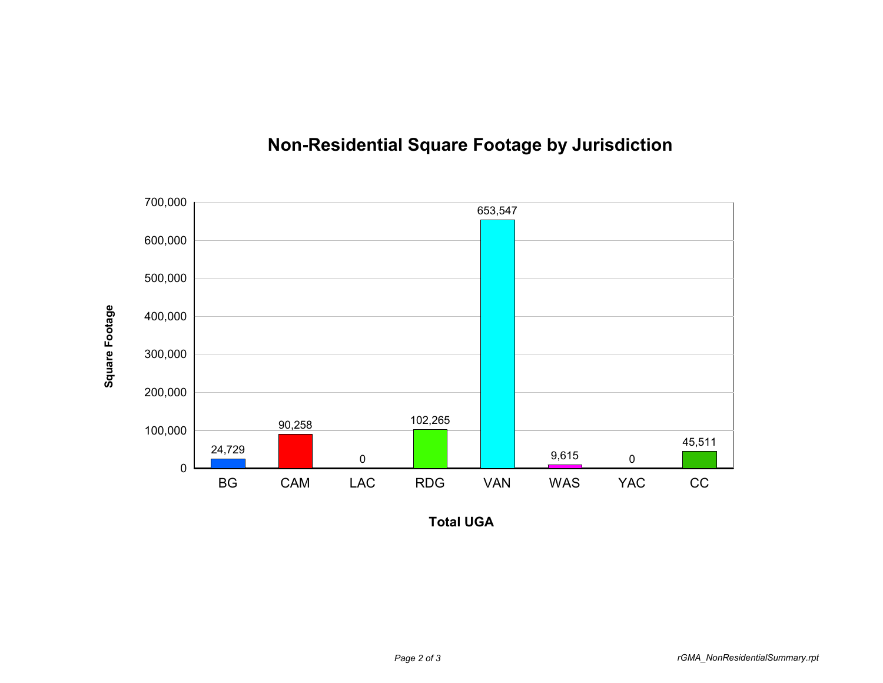

## **Non-Residential Square Footage by Jurisdiction**

**Total UGA**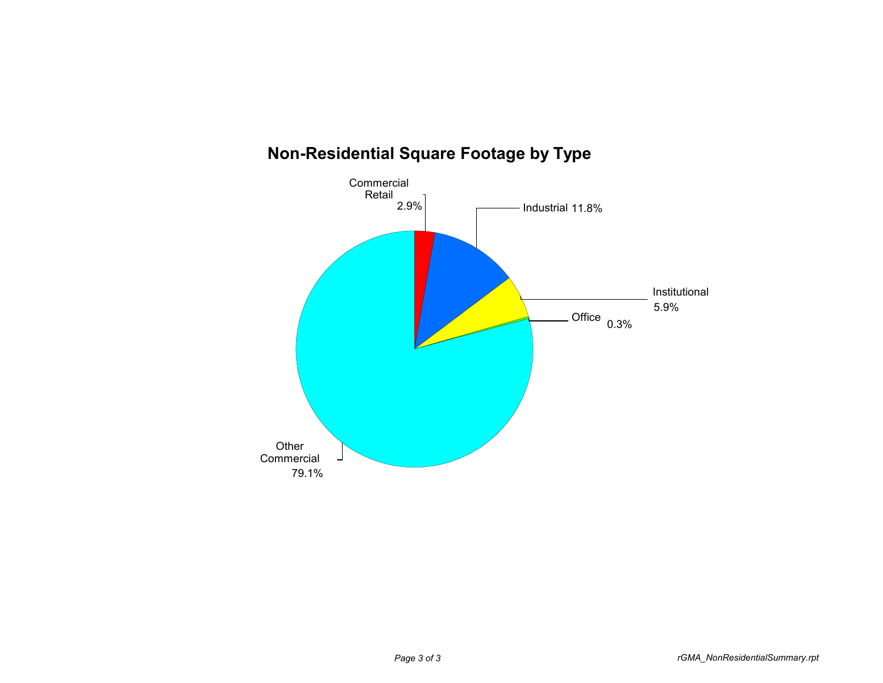

## **Non-Residential Square Footage by Type**